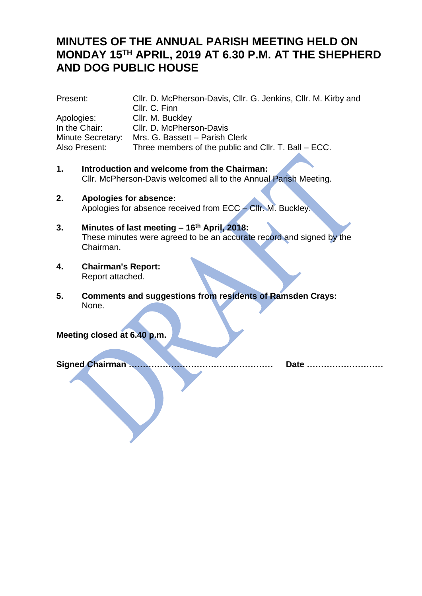# **MINUTES OF THE ANNUAL PARISH MEETING HELD ON MONDAY 15TH APRIL, 2019 AT 6.30 P.M. AT THE SHEPHERD AND DOG PUBLIC HOUSE**

| Present:                 | Cllr. D. McPherson-Davis, Cllr. G. Jenkins, Cllr. M. Kirby and |
|--------------------------|----------------------------------------------------------------|
|                          | Cllr. C. Finn                                                  |
| Apologies:               | Cllr. M. Buckley                                               |
| In the Chair:            | Cllr. D. McPherson-Davis                                       |
| <b>Minute Secretary:</b> | Mrs. G. Bassett - Parish Clerk                                 |
| Also Present:            | Three members of the public and CIIr. T. Ball – ECC.           |
|                          |                                                                |

- **1. Introduction and welcome from the Chairman:** Cllr. McPherson-Davis welcomed all to the Annual Parish Meeting.
- **2. Apologies for absence:** Apologies for absence received from ECC – Cllr. M. Buckley.
- **3. Minutes of last meeting – 16th April, 2018:** These minutes were agreed to be an accurate record and signed by the Chairman.
- **4. Chairman's Report:** Report attached.
- **5. Comments and suggestions from residents of Ramsden Crays:** None.

**Meeting closed at 6.40 p.m.**

**Signed Chairman …………………………………………… Date ………………………**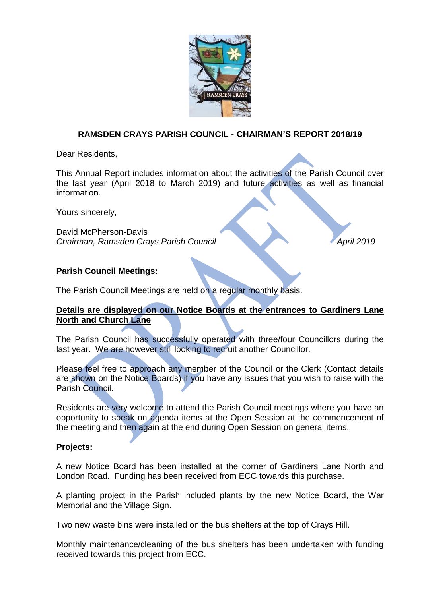

## **RAMSDEN CRAYS PARISH COUNCIL - CHAIRMAN'S REPORT 2018/19**

Dear Residents,

This Annual Report includes information about the activities of the Parish Council over the last year (April 2018 to March 2019) and future activities as well as financial information.

Yours sincerely,

David McPherson-Davis *Chairman, Ramsden Crays Parish Council April 2019*

### **Parish Council Meetings:**

The Parish Council Meetings are held on a regular monthly basis.

## **Details are displayed on our Notice Boards at the entrances to Gardiners Lane North and Church Lane**

The Parish Council has successfully operated with three/four Councillors during the last year. We are however still looking to recruit another Councillor.

Please feel free to approach any member of the Council or the Clerk (Contact details are shown on the Notice Boards) if you have any issues that you wish to raise with the Parish Council.

Residents are very welcome to attend the Parish Council meetings where you have an opportunity to speak on agenda items at the Open Session at the commencement of the meeting and then again at the end during Open Session on general items.

### **Projects:**

A new Notice Board has been installed at the corner of Gardiners Lane North and London Road. Funding has been received from ECC towards this purchase.

A planting project in the Parish included plants by the new Notice Board, the War Memorial and the Village Sign.

Two new waste bins were installed on the bus shelters at the top of Crays Hill.

Monthly maintenance/cleaning of the bus shelters has been undertaken with funding received towards this project from ECC.